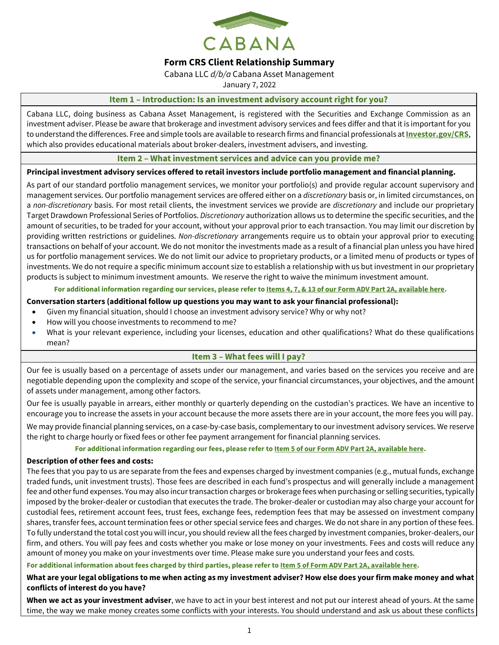

# **Form CRS Client Relationship Summary**

Cabana LLC *d/b/a* Cabana Asset Management

January 7, 2022

## **Item 1 – Introduction: Is an investment advisory account right for you?**

Cabana LLC, doing business as Cabana Asset Management, is registered with the Securities and Exchange Commission as an investment adviser. Please be aware that brokerage and investment advisory services and fees differ and that it is important for you to understand the differences. Free and simple tools are available to research firms and financial professionals at **[Investor.gov/CRS](https://www.investor.gov/CRS)**, which also provides educational materials about broker-dealers, investment advisers, and investing.

# **Item 2 – What investment services and advice can you provide me?**

## **Principal investment advisory services offered to retail investors include portfolio management and financial planning.**

As part of our standard portfolio management services, we monitor your portfolio(s) and provide regular account supervisory and management services. Our portfolio management services are offered either on a *discretionary* basis or, in limited circumstances, on a *non-discretionary* basis. For most retail clients, the investment services we provide are *discretionary* and include our proprietary Target Drawdown Professional Series of Portfolios. *Discretionary* authorization allows us to determine the specific securities, and the amount of securities, to be traded for your account, without your approval prior to each transaction. You may limit our discretion by providing written restrictions or guidelines. *Non-discretionary* arrangements require us to obtain your approval prior to executing transactions on behalf of your account. We do not monitor the investments made as a result of a financial plan unless you have hired us for portfolio management services. We do not limit our advice to proprietary products, or a limited menu of products or types of investments. We do not require a specific minimum account size to establish a relationship with us but investment in our proprietary products is subject to minimum investment amounts. We reserve the right to waive the minimum investment amount.

## **For additional information regarding our services, please refer t[o Items 4, 7, & 13 of our Form ADV Part 2A, available here.](https://adviserinfo.sec.gov/firm/brochure/151418)**

## **Conversation starters (additional follow up questions you may want to ask your financial professional):**

- Given my financial situation, should I choose an investment advisory service? Why or why not?
- How will you choose investments to recommend to me?
- What is your relevant experience, including your licenses, education and other qualifications? What do these qualifications mean?

# **Item 3 – What fees will I pay?**

Our fee is usually based on a percentage of assets under our management, and varies based on the services you receive and are negotiable depending upon the complexity and scope of the service, your financial circumstances, your objectives, and the amount of assets under management, among other factors.

Our fee is usually payable in arrears, either monthly or quarterly depending on the custodian's practices. We have an incentive to encourage you to increase the assets in your account because the more assets there are in your account, the more fees you will pay.

We may provide financial planning services, on a case-by-case basis, complementary to our investment advisory services. We reserve the right to charge hourly or fixed fees or other fee payment arrangement for financial planning services.

## **For additional information regarding our fees, please refer t[o Item 5 of our Form ADV Part 2A, available here.](https://adviserinfo.sec.gov/firm/brochure/151418)**

## **Description of other fees and costs:**

The fees that you pay to us are separate from the fees and expenses charged by investment companies (e.g., mutual funds, exchange traded funds, unit investment trusts). Those fees are described in each fund's prospectus and will generally include a management fee and other fund expenses. You may also incur transaction charges or brokerage fees when purchasing or selling securities, typically imposed by the broker-dealer or custodian that executes the trade. The broker-dealer or custodian may also charge your account for custodial fees, retirement account fees, trust fees, exchange fees, redemption fees that may be assessed on investment company shares, transfer fees, account termination fees or other special service fees and charges. We do not share in any portion of these fees. To fully understand the total cost you will incur, you should review all the fees charged by investment companies, broker-dealers, our firm, and others. You will pay fees and costs whether you make or lose money on your investments. Fees and costs will reduce any amount of money you make on your investments over time. Please make sure you understand your fees and costs.

## **For additional information about fees charged by third parties, please refer t[o Item 5 of Form ADV Part 2A, available here.](https://adviserinfo.sec.gov/firm/brochure/151418)**

# **What are your legal obligations to me when acting as my investment adviser? How else does your firm make money and what conflicts of interest do you have?**

**When we act as your investment adviser**, we have to act in your best interest and not put our interest ahead of yours. At the same time, the way we make money creates some conflicts with your interests. You should understand and ask us about these conflicts